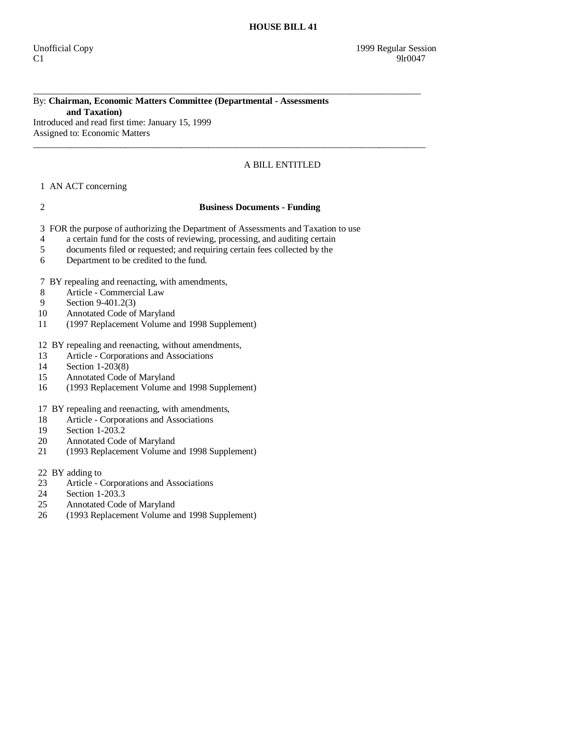# By: **Chairman, Economic Matters Committee (Departmental - Assessments and Taxation)**

\_\_\_\_\_\_\_\_\_\_\_\_\_\_\_\_\_\_\_\_\_\_\_\_\_\_\_\_\_\_\_\_\_\_\_\_\_\_\_\_\_\_\_\_\_\_\_\_\_\_\_\_\_\_\_\_\_\_\_\_\_\_\_\_\_\_\_\_\_\_\_\_\_\_\_\_\_\_\_\_\_\_\_\_

 $\_$  ,  $\_$  ,  $\_$  ,  $\_$  ,  $\_$  ,  $\_$  ,  $\_$  ,  $\_$  ,  $\_$  ,  $\_$  ,  $\_$  ,  $\_$  ,  $\_$  ,  $\_$  ,  $\_$  ,  $\_$  ,  $\_$  ,  $\_$  ,  $\_$  ,  $\_$  ,  $\_$  ,  $\_$  ,  $\_$  ,  $\_$  ,  $\_$  ,  $\_$  ,  $\_$  ,  $\_$  ,  $\_$  ,  $\_$  ,  $\_$  ,  $\_$  ,  $\_$  ,  $\_$  ,  $\_$  ,  $\_$  ,  $\_$  ,

Introduced and read first time: January 15, 1999 Assigned to: Economic Matters

# A BILL ENTITLED

# 1 AN ACT concerning

### 2 **Business Documents - Funding**

3 FOR the purpose of authorizing the Department of Assessments and Taxation to use

- 4 a certain fund for the costs of reviewing, processing, and auditing certain
- 5 documents filed or requested; and requiring certain fees collected by the
- 6 Department to be credited to the fund.

7 BY repealing and reenacting, with amendments,

- 8 Article Commercial Law
- 9 Section 9-401.2(3)<br>10 Annotated Code of
- Annotated Code of Maryland
- 11 (1997 Replacement Volume and 1998 Supplement)

### 12 BY repealing and reenacting, without amendments,

- 13 Article Corporations and Associations<br>14 Section 1-203(8)
- 14 Section 1-203(8)<br>15 Annotated Code
- Annotated Code of Maryland
- 16 (1993 Replacement Volume and 1998 Supplement)
- 17 BY repealing and reenacting, with amendments,
- 18 Article Corporations and Associations
- 19 Section 1-203.2<br>20 Annotated Code
- 20 Annotated Code of Maryland<br>21 (1993 Replacement Volume a
- 21 (1993 Replacement Volume and 1998 Supplement)
- 22 BY adding to
- 23 Article Corporations and Associations<br>24 Section 1-203.3
- Section  $1-203.3$
- 25 Annotated Code of Maryland
- 26 (1993 Replacement Volume and 1998 Supplement)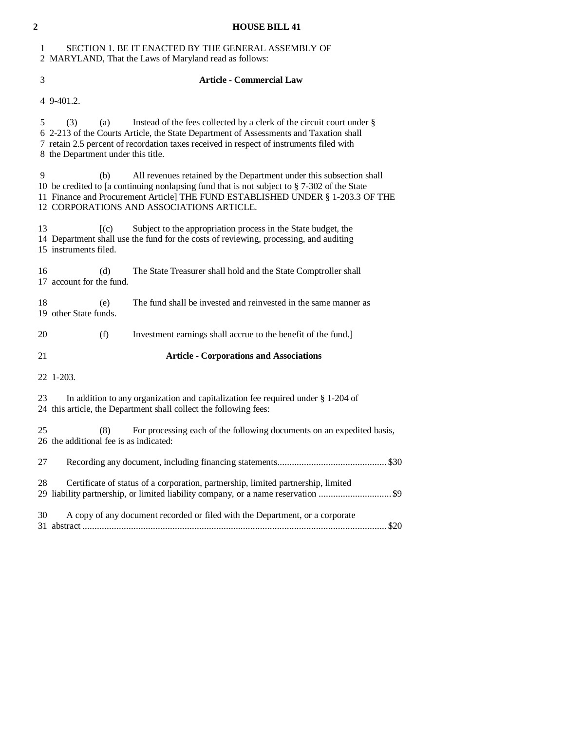# **2 HOUSE BILL 41**  1 SECTION 1. BE IT ENACTED BY THE GENERAL ASSEMBLY OF

2 MARYLAND, That the Laws of Maryland read as follows:

# 3 **Article - Commercial Law**

4 9-401.2.

 5 (3) (a) Instead of the fees collected by a clerk of the circuit court under § 6 2-213 of the Courts Article, the State Department of Assessments and Taxation shall 7 retain 2.5 percent of recordation taxes received in respect of instruments filed with 8 the Department under this title.

 9 (b) All revenues retained by the Department under this subsection shall 10 be credited to [a continuing nonlapsing fund that is not subject to § 7-302 of the State 11 Finance and Procurement Article] THE FUND ESTABLISHED UNDER § 1-203.3 OF THE 12 CORPORATIONS AND ASSOCIATIONS ARTICLE.

13 [(c) Subject to the appropriation process in the State budget, the 14 Department shall use the fund for the costs of reviewing, processing, and auditing 15 instruments filed.

 16 (d) The State Treasurer shall hold and the State Comptroller shall 17 account for the fund.

 18 (e) The fund shall be invested and reinvested in the same manner as 19 other State funds.

20 (f) Investment earnings shall accrue to the benefit of the fund.]

21 **Article - Corporations and Associations** 

22 1-203.

 23 In addition to any organization and capitalization fee required under § 1-204 of 24 this article, the Department shall collect the following fees:

 25 (8) For processing each of the following documents on an expedited basis, 26 the additional fee is as indicated: 27 Recording any document, including financing statements............................................. \$30

 28 Certificate of status of a corporation, partnership, limited partnership, limited 29 liability partnership, or limited liability company, or a name reservation .............................. \$9 30 A copy of any document recorded or filed with the Department, or a corporate

31 abstract ............................................................................................................................. \$20